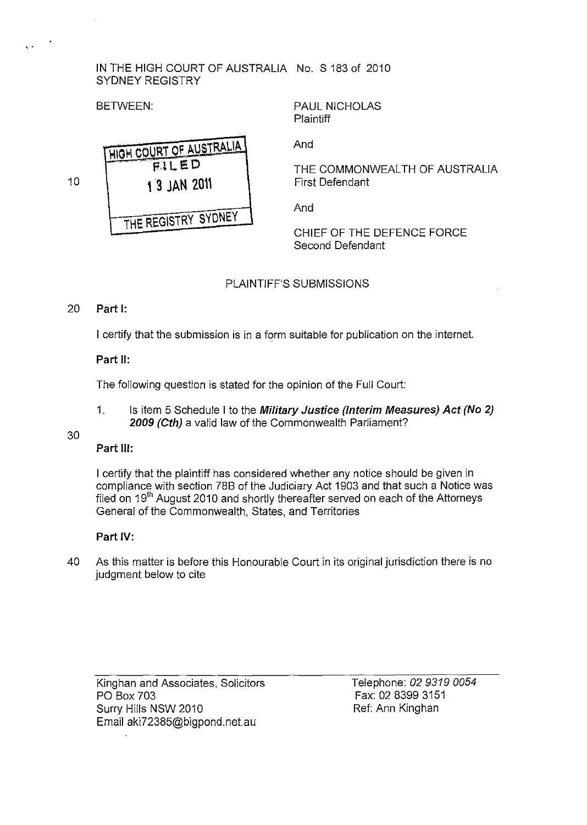### IN THE HIGH COURT OF AUSTRALIA No. S 183 of 2010 SYDNEY REGISTRY

BETWEEN:

, .

PAUL NICHOLAS Plaintiff

HIGH COURT OF AUSTRALIA  $FILED$ **\3** JAN 2o" THE REGISTRY SYDNEY

And

THE COMMONWEALTH OF AUSTRALIA First Defendant

And

CHIEF OF THE DEFENCE FORCE Second Defendant

# PLAINTIFF'S SUBMISSIONS

## 20 Part I:

10

I certify that the submission is in a form suitable for publication on the internet.

## Part II:

The following question is stated for the opinion of the Full Court:

1. Is item 5 Schedule I to the Military Justice (Interim Measures) Act (No 2) 2009 (Cth) a valid law of the Commonwealth Parliament?

# 30

## Part Ill:

I certify that the plaintiff has considered whether any notice should be given in compliance with section 78B of the Judiciary Act 1903 and that such a Notice was filed on 19<sup>th</sup> August 2010 and shortly thereafter served on each of the Attorneys General of the Commonwealth, States, and Territories

## Part IV:

40 As this matter is before this Honourable Court in its original jurisdiction there is no judgment below to cite

Kinghan and Associates, Solicitors PO Box 703 Surry Hills NSW 2010 Email aki72385@bigpond.net.au

Telephone: 02 9319 *0054*  Fax: 02 8399 3151 Ref: Ann Kinghan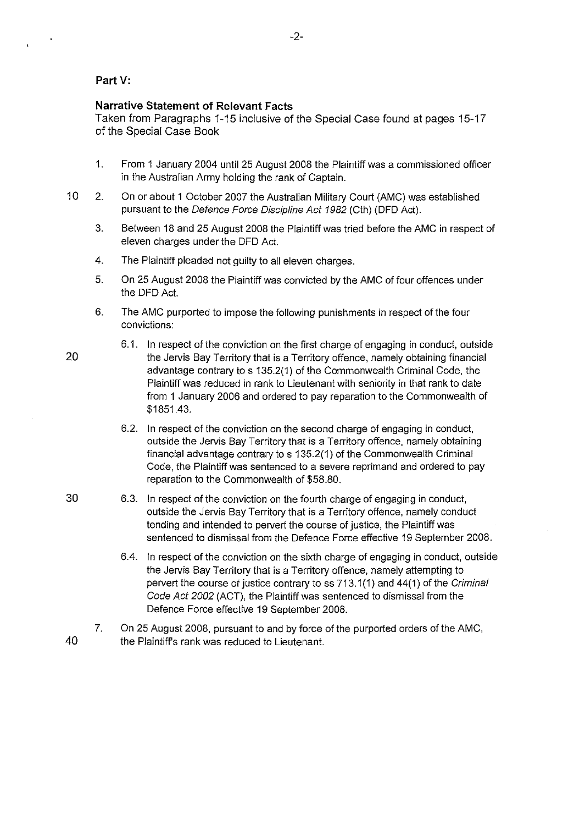### Part V:

#### **Narrative Statement of Relevant Facts**

Taken from Paragraphs 1-15 inclusive of the Special Case found at pages 15-17 of the Special Case Book

- 1. From 1 January 2004 until 25 August 2008 the Plaintiff was a commissioned officer in the Australian Army holding the rank of Captain.
- 10 2. On or about 1 October 2007 the Australian Military Court (AMC) was established pursuant to the Defence Force Discipline Act 1982 (Cth) (DFD Act).
	- 3. Between 18 and 25 August 2008 the Plaintiff was tried before the AMC in respect of eleven charges under the DFD Act.
	- 4. The Plaintiff pleaded not guilty to all eleven charges.
	- 5. On 25 August 2008 the Plaintiff was convicted by the AMC of four offences under the DFD Act.
	- 6. The AMC purported to impose the following punishments in respect of the four convictions:
		- 6.1. In respect of the conviction on the first charge of engaging in conduct, outside the Jervis Bay Territory that is a Territory offence, namely obtaining financial advantage contrary to s 135.2(1) of the Commonwealth Criminal Code, the Plaintiff was reduced in rank to Lieutenant with seniority in that rank to date from 1 January 2006 and ordered to pay reparation to the Commonwealth of \$1851.43.
		- 6.2. In respect of the conviction on the second charge of engaging in conduct, outside the Jervis Bay Territory that is a Territory offence, namely obtaining financial advantage contrary to s 135.2(1) of the Commonwealth Criminal Code, the Plaintiff was sentenced to a severe reprimand and ordered to pay reparation to the Commonwealth of \$58.80.
		- 6.3. In respect of the conviction on the fourth charge of engaging in conduct, outside the Jervis Bay Territory that is a Territory offence, namely conduct tending and intended to pervert the course of justice, the Plaintiff was sentenced to dismissal from the Defence Force effective 19 September 2008.
			- 6.4. In respect of the conviction on the sixth charge of engaging in conduct, outside the Jervis Bay Territory that is a Territory offence, namely attempting to pervert the course of justice contrary to ss 713.1 (1) and 44(1) of the Criminal Code Act 2002 (ACT), the Plaintiff was sentenced to dismissal from the Defence Force effective 19 September 2008.
	- 7. On 25 August 2008, pursuant to and by force of the purported orders of the AMC, the Plaintiffs rank was reduced to Lieutenant.

20

30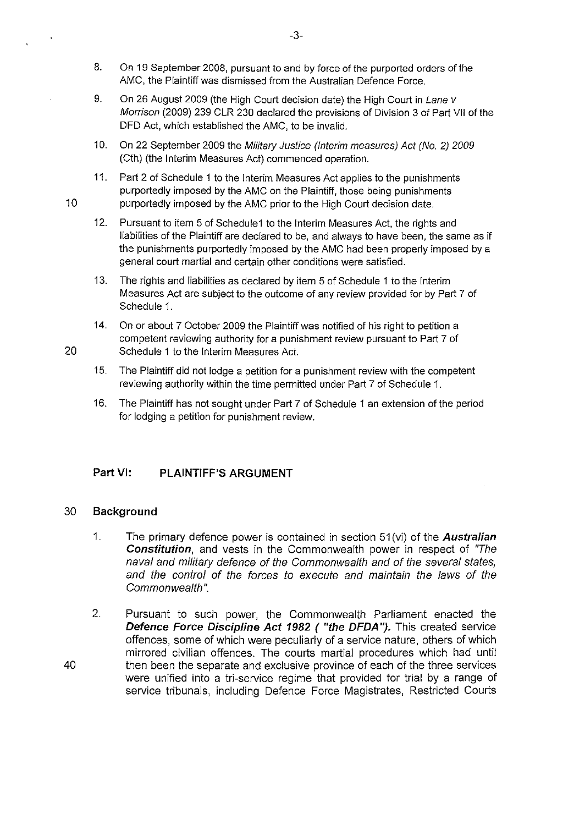- 8. On 19 September 2008, pursuant to and by force of the purported orders of the AMC, the Plaintiff was dismissed from the Australian Defence Force.
- 9. On 26 August 2009 (the High Court decision date) the High Court in Lane v Morrison (2009) 239 CLR 230 declared the provisions of Division 3 of Part VII of the DFD Act, which established the AMC, to be invalid.
- 10. On 22 September 2009 the Military Justice (Interim measures) Act (No. 2) 2009 (Cth) (the Interim Measures Act) commenced operation.
- 11. Part 2 of Schedule 1 to the Interim Measures Act applies to the punishments purportedly imposed by the AMC on the Plaintiff, those being punishments 10 **purportedly imposed by the AMC prior to the High Court decision date.** 
	- 12. Pursuant to item 5 of Schedule1 to the Interim Measures Act, the rights and liabilities of the Plaintiff are declared to be, and always to have been, the same as if the punishments purportedly imposed by the AMC had been properly imposed by a general court martial and certain other conditions were satisfied.
	- 13. The rights and liabilities as declared by item 5 of Schedule 1 to the Interim Measures Act are subject to the outcome of any review provided for by Part 7 of Schedule 1.
- 14. On or about 7 October 2009 the Plaintiff was notified of his right to petition a competent reviewing authority for a punishment review pursuant to Part 7 of 20 Schedule 1 to the Interim Measures Act.
	- 15. The Plaintiff did not lodge a petition for a punishment review with the competent reviewing authority within the time permitted under Part 7 of Schedule 1.
	- 16. The Plaintiff has not sought under Part 7 of Schedule 1 an extension of the period for lodging a petition for punishment review.

# Part VI: **PLAINTIFF'S ARGUMENT**

## 30 **Background**

- 1. The primary defence power is contained in section 51 (vi) of the **Australian Constitution,** and vests in the Commonwealth power in respect of "The naval and military defence of the Commonwealth and of the several states, and the control of the forces to execute and maintain the laws of the Commonwealth ".
- 2. Pursuant to such power, the Commonwealth Parliament enacted the **Defence Force Discipline Act 1982 ( "the DFDA").** This created service offences, some of which were peculiarly of a service nature, others of which mirrored civilian offences. The courts martial procedures which had until then been the separate and exclusive province of each of the three services were unified into a tri-service regime that provided for trial by a range of service tribunals, including Defence Force Magistrates, Restricted Courts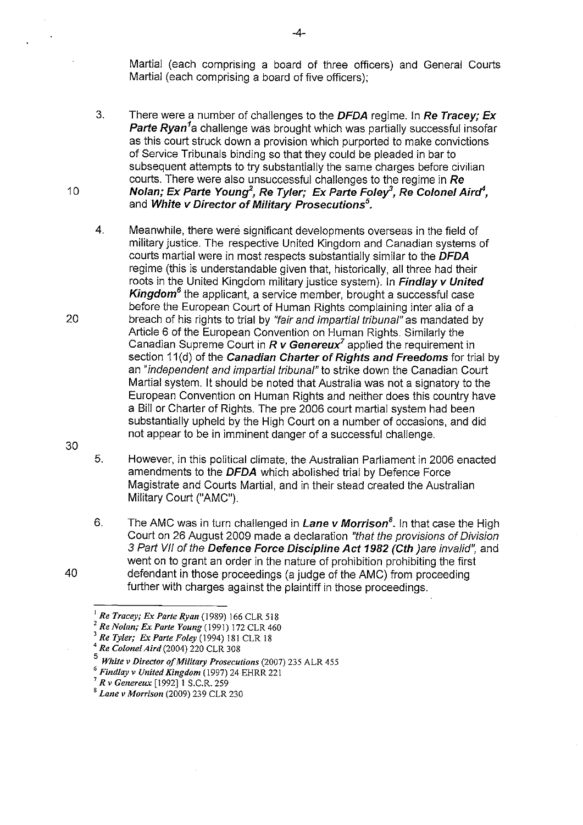Martial (each comprising a board of three officers) and General Courts Martial (each comprising a board of five officers);

- 3. There were a number of challenges to the **DFDA** regime. In **Re Tracey; Ex**  Parte Ryan<sup>1</sup>a challenge was brought which was partially successful insofar as this court struck down a provision which purported to make convictions of Service Tribunals binding so that they could be pleaded in bar to subsequent attempts to try substantially the same charges before civilian courts. There were also unsuccessful challenges to the regime in **Re Nolan; Ex Parte Young***<sup>2</sup> ,* **Re Tyler; Ex Parte Foley, Re Colonel Airrt,**  and **White v Director of Military Prosecutions***<sup>5</sup> •*
- 4. Meanwhile, there were significant developments overseas in the field of military justice. The respective United Kingdom and Canadian systems of courts martial were in most respects substantially similar to the **DFDA**  regime (this is understandable given that, historically, all three had their roots in the United Kingdom military justice system). In **Findlay v United Kingdom***6* the applicant, a service member, brought a successful case before the European Court of Human Rights complaining inter alia of a breach of his rights to trial by "fair and impartial tribunal" as mandated by Article 6 of the European Convention on Human Rights. Similarly the Canadian Supreme Court in *R* **v Genereux***<sup>7</sup>*applied the requirement in section 11 (d) of the **Canadian Charter of Rights and Freedoms** for trial by an "independent and impartial tribunal" to strike down the Canadian Court Martial system. It should be noted that Australia was not a signatory to the European Convention on Human Rights and neither does this country have a Bill or Charter of Rights. The pre 2006 court martial system had been substantially upheld by the High Court on a number of occasions, and did not appear to be in imminent danger of a successful challenge.
- 5. However, in this political climate, the Australian Parliament in 2006 enacted amendments to the **DFDA** which abolished trial by Defence Force Magistrate and Courts Martial, and in their stead created the Australian Military Court ("AMC").
- 6. The AMC was in turn challenged in **Lane v Morrison***<sup>8</sup> .* In that case the High Court on 26 August 2009 made a declaration "that the provisions of Division 3 Part VII of the **Defence Force Discipline Act 1982 (Cth** )are invalid", and went on to grant an order in the nature of prohibition prohibiting the first defendant in those proceedings (a judge of the AMC) from proceeding further with charges against the plaintiff in those proceedings.

-4-

30

40

20

<sup>I</sup>*Re Tracey; Ex Parte Ryan* (1989) 166 CLR 518

<sup>2</sup>*Re Nolan; Ex Parte Young* (1991) 172 CLR 460

<sup>3</sup>*Re Tyler; Ex Parte Foley* (1994) 181 CLR 18

<sup>4</sup>*Re ColoneIAird(2004)* 220 CLR 308

*<sup>5</sup> White v Director of Military Prosecutions* (2007) 235 ALR 455

*<sup>6</sup> Findlay v United Kingdom* (1997) 24 EHRR 221

<sup>7</sup>*R v Genereux* [1992]1 S.C.R.259

<sup>8</sup> *Lane v Morrison* (2009) 239 CLR 230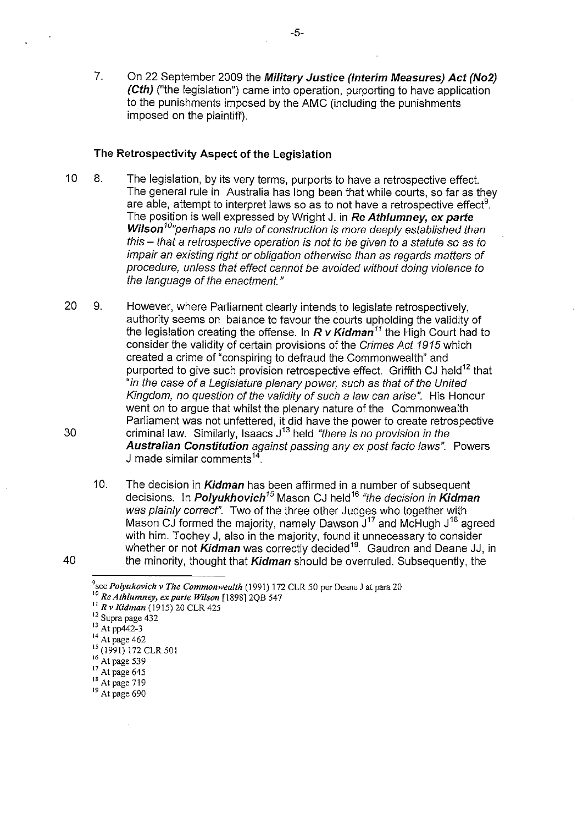7. On 22 September 2009 the **Military Justice (Interim Measures) Act (No2) (Cth)** ("the legislation") came into operation, purporting to have application to the punishments imposed by the AMC (including the punishments imposed on the plaintiff).

#### **The Retrospectivity Aspect of the Legislation**

- 10 8. The legislation, by its very terms, purports to have a retrospective effect. The general rule in Australia has long been that while courts, so far as they are able, attempt to interpret laws so as to not have a retrospective effect<sup>9</sup>. The position is well expressed by Wright J. in **Re Athlumney, ex parte**  Wilson<sup>10</sup>"perhaps no rule of construction is more deeply established than this - that a retrospective operation is not to be given to a statute so as to impair an existing right or obligation otherwise than as regards matters of procedure, unless that effect cannot be avoided without doing violence to the language of the enactment."
- 20 9. However, where Parliament clearly intends to legislate retrospectively, authority seems on balance to favour the courts upholding the validity of the legislation creating the offense. In  $R$   $\mathsf{v}$  Kidman<sup>11</sup> the High Court had to consider the validity of certain provisions of the Crimes Act 1915 which created a crime of "conspiring to defraud the Commonwealth" and purported to give such provision retrospective effect. Griffith CJ held<sup>12</sup> that "in the case of a Legislature plenary power, such as that of the United Kingdom, no question of the validity of such a law can arise". His Honour went on to argue that whilst the plenary nature of the Commonwealth Parliament was not unfettered, it did have the power to create retrospective 30 criminal law. Similarly, Isaacs  $J^{13}$  held "there is no provision in the **Australian Constitution** against passing any ex post facto laws". Powers J made similar comments<sup>14</sup>
- 10. The decision in **Kidman** has been affirmed in a number of subsequent decisions. In **Polyukhovich<sup>15</sup>**Mason CJ held<sup>16</sup>"the decision in **Kidman**  was plainly correct". Two of the three other Judges who together with Mason CJ formed the majority, namely Dawson J<sup>17</sup> and McHugh J<sup>18</sup> agreed with him. Toohey J, also in the majority, found it unnecessary to consider whether or not *Kidman* was correctly decided<sup>19</sup>. Gaudron and Deane JJ, in 40 the minority, thought that **Kidman** should be overruled. Subsequently, the

<sup>&</sup>lt;sup>9</sup> see *Polyukovich v The Commonwealth* (1991) 172 CLR 50 per Deane J at para 20

<sup>&</sup>lt;sup>10</sup> Re Athlumney, ex parte Wilson [1898] 2QB 547 II *Rv Kidman* (1915) 20 CLR 425

**<sup>12</sup>Supra page 432** 

<sup>&</sup>lt;sup>13</sup> At pp442-3

**<sup>14</sup>At page 462** 

<sup>&</sup>lt;sup>15</sup> (1991) 172 CLR 501

<sup>16</sup> At page 539

 $^{17}_{18}$  At page 645

<sup>&</sup>lt;sup>19</sup> At page 690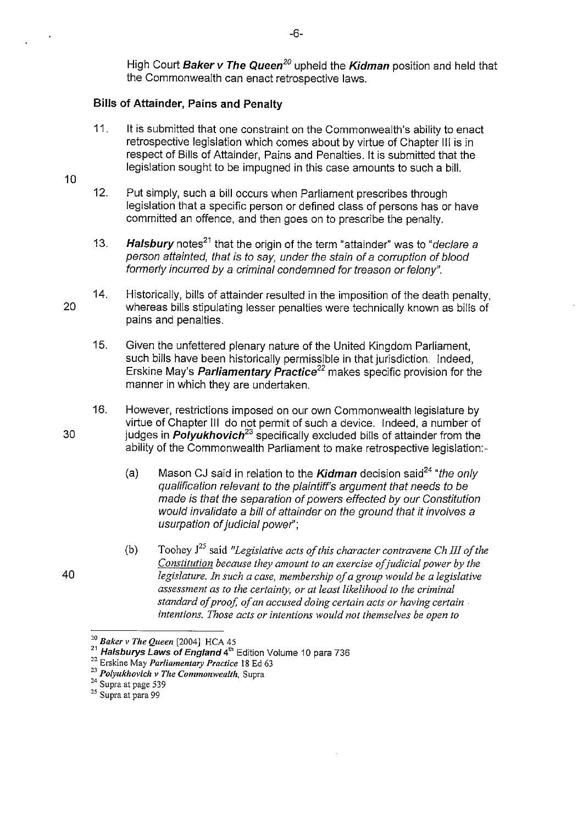High Court Baker v The Queen*20* upheld the Kidman position and held that the Commonwealth can enact retrospective laws.

### Bills of Attainder, Pains and Penalty

- 11. It is submitted that one constraint on the Commonwealth's ability to enact retrospective legislation which comes about by virtue of Chapter III is in respect of Bills of Attainder, Pains and Penalties. It is submitted that the legislation sought to be impugned in this case amounts to such a bill.
- 12. Put simply, such a bill occurs when Parliament prescribes through legislation that a specific person or defined class of persons has or have committed an offence, and then goes on to prescribe the penalty.
- 13. **Halsbury** notes<sup>21</sup> that the origin of the term "attainder" was to "*declare a* person attainted, that is to say, under the stain of a corruption of blood formerly incurred by a criminal condemned for treason or felony".
- 20 14. Historically, bills of attainder resulted in the imposition of the death penalty, whereas bills stipulating lesser penalties were technically known as bills of pains and penalties.
	- 15. Given the unfettered plenary nature of the United Kingdom Parliament, such bills have been historically permissible in that jurisdiction. Indeed, Erskine May's Parliamentary Practice*22* makes specific provision for the manner in which they are undertaken.
- 16. However, restrictions imposed on our own Commonwealth legislature by virtue of Chapter III do not permit of such a device. Indeed, a number of 30 judges in Polyukhovich*<sup>23</sup>*specifically excluded bills of attainder from the ability of the Commonwealth Parliament to make retrospective legislation:-
	- (a) Mason CJ said in relation to the **Kidman** decision said<sup>24</sup> "the only qualification relevant to the plaintiff's argument that needs to be made is that the separation of powers effected by our Constitution would invalidate a bill of attainder on the ground that it involves a usurpation of judicial power";
	- (b) Toohey J25 said *"Legislative acts of this character contravene Ch III of the Constitution because they amount to an exercise of judicial power by the legislature. In such a case, membership of a group would be a legislative assessment as to the certainty, or at least likelihood to the criminal standard of proof, of an accused doing certain acts or having certain intentions. Those acts or intentions would not themselves be open to*

10

<sup>&#</sup>x27;0 *- Baker v The Queen* [2004] HCA 45

 $21$  Halsburys Laws of England 4th Edition Volume 10 para 736

<sup>22</sup> Erskine May *Parliamentary Practice* 18 Ed 63

*<sup>23</sup> Polyukhovich v The Commonwealth,* Supra

<sup>&</sup>lt;sup>24</sup> Supra at page 539

<sup>25</sup> Supra at para 99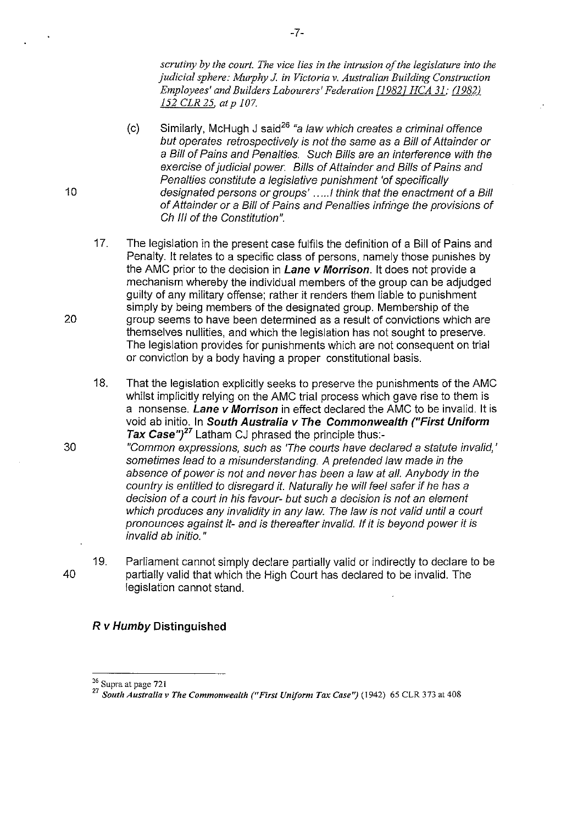*scrutiny by the court. The vice lies in the intrusion of the legislature into the judicial sphere: Murphy J. in Victoria* v. *Australian Building Construction Employees' and Builders Labourers' Federation* [19821 *HCA* 31; *(J982J 152 CLR* 25. *at p 107.* 

- $(c)$ Similarly, McHugh J said<sup>26</sup> "a law which creates a criminal offence but operates retrospectively is not the same as a Bill of Attainder or a Bill of Pains and Penalties. Such Bills are an interference with the exercise of judicial power. Bills of Attainder and Bills of Pains and Penalties constitute a legislative punishment 'of specifically designated persons or groups' .....I think that the enactment of a Bill of Attainder or a Bill of Pains and Penalties infringe the provisions of Ch III of the Constitution".
- 17. The legislation in the present case fulfils the definition of a Bill of Pains and Penalty. It relates to a specific class of persons, namely those punishes by the AMC prior to the decision in **Lane v Morrison.** It does not provide a mechanism whereby the individual members of the group can be adjudged guilty of any military offense; rather it renders them liable to punishment simply by being members of the designated group. Membership of the 20 group seems to have been determined as a result of convictions which are themselves nullities, and which the legislation has not sought to preserve. The legislation provides for punishments which are not consequent on trial or conviction by a body having a proper constitutional basis.
	- 18. That the legislation explicitly seeks to preserve the punishments of the AMC whilst implicitly relying on the AMC trial process which gave rise to them is a nonsense. **Lane** *v* **Morrison** in effect declared the AMC to be invalid. It is void ab initio. In **South Australia** *v* **The Commonwealth ("First Uniform**  Tax Case")<sup>27</sup> Latham CJ phrased the principle thus:-

30 "Common expressions, such as 'The courts have declared a statute invalid, ' sometimes lead to a misunderstanding. A pretended law made in the absence of power is not and never has been a law at all. Anybody in the country is entitled to disregard it. Naturally he will feel safer if he has a decision of a court in his favour- but such a decision is not an element which produces any invalidity in any law. The law is not valid until a court pronounces against it- and is thereafter invalid. If it is beyond power it is invalid ab initio. "

19. Parliament cannot simply declare partially valid or indirectly to declare to be 40 partially valid that which the High Court has declared to be invalid. The legislation cannot stand.

#### **Rv Humby Distinguished**

-7-

**<sup>26</sup> Supra at page 721** 

*<sup>27</sup> South Australia v The Commonwealth ("First Uniform Tax Case'')* **(1942) 65 CLR 373 at 408**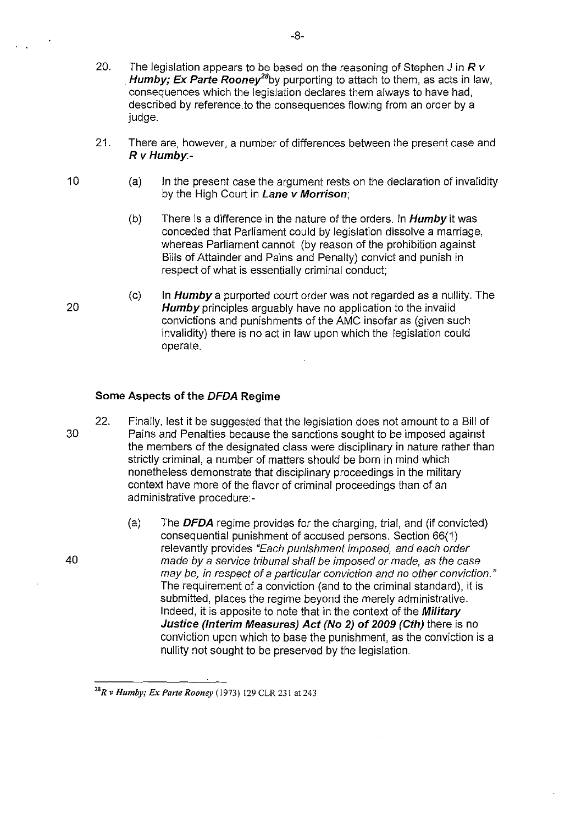- 20. The legislation appears to be based on the reasoning of Stephen J in *R v*  Humby; Ex Parte Rooney<sup>28</sup>by purporting to attach to them, as acts in law, consequences which the legislation declares them always to have had, described by reference to the consequences flowing from an order by a judge.
- 21. There are, however, a number of differences between the present case and  $Rv$  Humby -
	- (a) In the present case the argument rests on the declaration of invalidity by the High Court in Lane v Morrison;
		- (b) There is a difference in the nature of the orders. In  $Humby$  it was conceded that Parliament could by legislation dissolve a marriage, whereas Parliament cannot (by reason of the prohibition against Bills of Attainder and Pains and Penalty) convict and punish in respect of what is essentially criminal conduct;
		- $(c)$  In *Humby* a purported court order was not regarded as a nullity. The Humby principles arguably have no application to the invalid convictions and punishments of the AMC insofar as (given such invalidity) there is no act in law upon which the legislation could operate.

#### Some Aspects of the DFDA Regime

- 22. Finally, lest it be suggested that the legislation does not amount to a Bill of 30 Pains and Penalties because the sanctions sought to be imposed against the members of the designated class were disciplinary in nature rather than strictly criminal, a number of matters should be born in mind which nonetheless demonstrate that disciplinary proceedings in the military context have more of the flavor of criminal proceedings than of an administrative procedure:-
	- (a) The **DFDA** regime provides for the charging, trial, and (if convicted) consequential punishment of accused persons. Section 66(1) relevantly provides "Each punishment imposed, and each order made by a service tribunal shall be imposed or made, as the case may be, in respect of a particular conviction and no other conviction." The requirement of a conviction (and to the criminal standard), it is submitted, places the regime beyond the merely administrative. Indeed, it is apposite to note that in the context of the **Military** Justice (Interim Measures) Act (No 2) of 2009 (Cth) there is no conviction upon which to base the punishment, as the conviction is a nullity not sought to be preserved by the legislation.

-8-

40

10

*<sup>&</sup>quot;R v Humby; Ex Parte Rooney* (1973) 129 CLR 231 at 243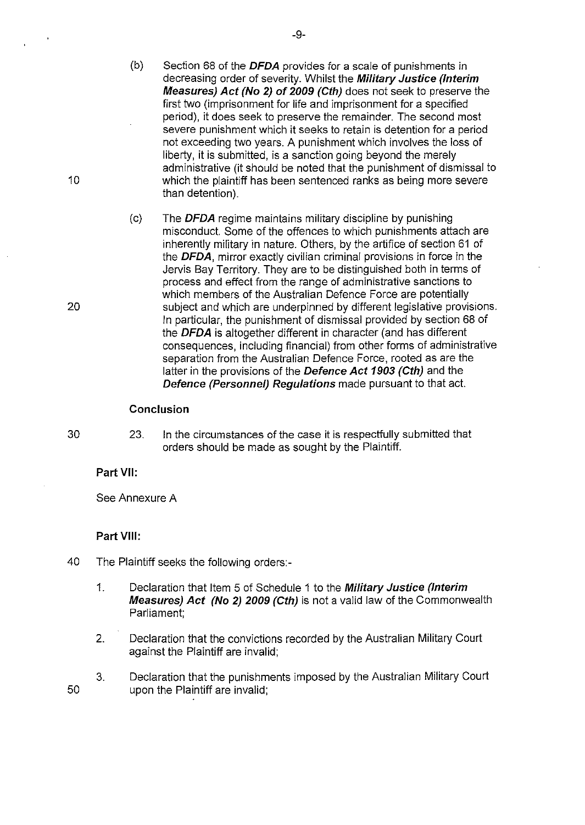- (b) Section 68 of the **DFDA** provides for a scale of punishments in decreasing order of severity. Whilst the **Military Justice (Interim Measures) Act (No 2) of 2009 (Cth)** does not seek to preserve the first two (imprisonment for life and imprisonment for a specified period), it does seek to preserve the remainder. The second most severe punishment which it seeks to retain is detention for a period not exceeding two years. A punishment which involves the loss of liberty, it is submitted, is a sanction going beyond the merely administrative (it should be noted that the punishment of dismissal to 10 which the plaintiff has been sentenced ranks as being more severe than detention).
- (c) The **DFDA** regime maintains military discipline by punishing misconduct. Some of the offences to which punishments attach are inherently military in nature. Others, by the artifice of section 61 of the **DFDA,** mirror exactly civilian criminal provisions in force in the Jervis Bay Territory. They are to be distinguished both in terms of process and effect from the range of administrative sanctions to which members of the Australian Defence Force are potentially 20 subject and which are underpinned by different legislative provisions. In particular, the punishment of dismissal provided by section 68 of the **DFDA** is altogether different in character (and has different consequences, including financial) from other forms of administrative separation from the Australian Defence Force, rooted as are the latter in the provisions of the **Defence Act 1903 (Cth)** and the **Defence (Personnel) Regulations** made pursuant to that act.

#### **Conclusion**

50

30 23. **In** the circumstances of the case it is respectfully submitted that orders should be made as sought by the Plaintiff.

## **Part VII:**

See Annexure A

## **Part VIII:**

- 40 The Plaintiff seeks the following orders:-
	- 1. Declaration that Item 5 of Schedule 1 to the **Military Justice (Interim Measures) Act (No 2) 2009 (Cth)** is not a valid law of the Commonwealth Parliament;
	- 2. Declaration that the convictions recorded by the Australian Military Court against the Plaintiff are invalid;
	- 3. Declaration that the punishments imposed by the Australian Military Court upon the Plaintiff are invalid;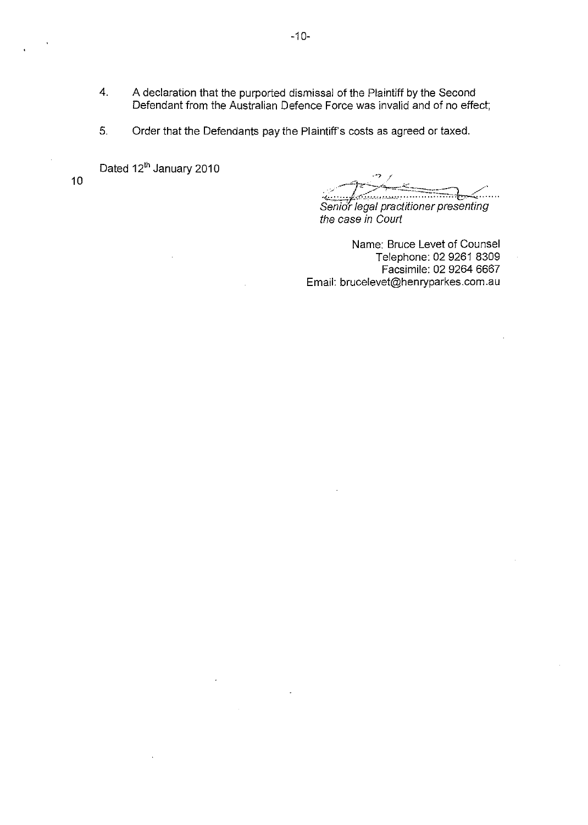- 4. A declaration that the purported dismissal of the Plaintiff by the Second Defendant from the Australian Defence Force was invalid and of no effect;
- 5. Order that the Defendants pay the Plaintiff's costs as agreed or taxed.

Dated 12<sup>th</sup> January 2010

10

 $\frac{1}{2}$  ,  $\frac{1}{2}$  ,  $\frac{1}{2}$  ,  $\frac{1}{2}$  ,  $\frac{1}{2}$  ,  $\frac{1}{2}$  ,  $\frac{1}{2}$  ,  $\frac{1}{2}$  ,  $\frac{1}{2}$  ,  $\frac{1}{2}$  ,  $\frac{1}{2}$  ,  $\frac{1}{2}$  ,  $\frac{1}{2}$  ,  $\frac{1}{2}$  ,  $\frac{1}{2}$  ,  $\frac{1}{2}$  ,  $\frac{1}{2}$  ,  $\frac{1}{2}$  ,  $\frac{1$ Senior legal practitioner presenting the case in Court

Name: Bruce Levet of Counsel Telephone: 02 9261 8309 Facsimile: 02 9264 6667 Email: brucelevet@henryparkes.com.au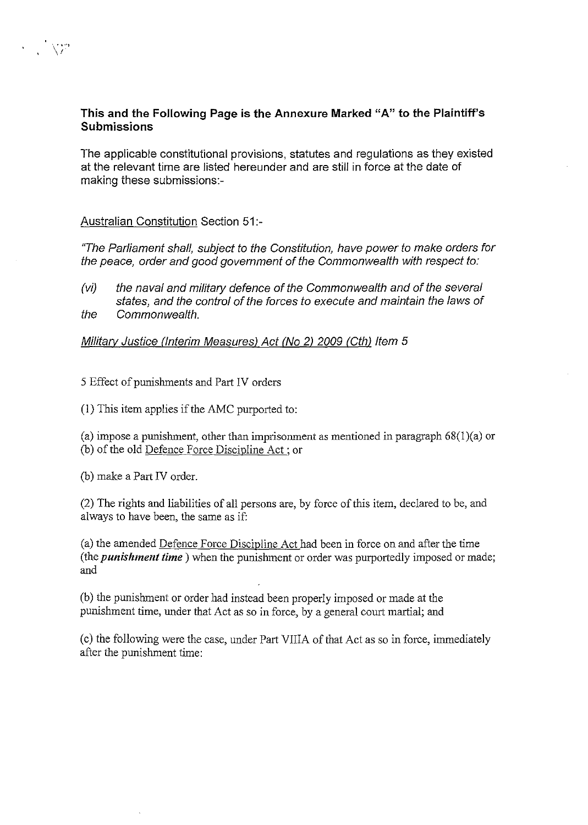# **This and the Following Page is the Annexure Marked** "A" **to the Plaintiff's Submissions**

The applicable constitutional provisions, statutes and regulations as they existed at the relevant time are listed hereunder and are still in force at the date of making these submissions:-

# Australian Constitution Section 51:-

"The Parliament shall, subject to the Constitution, have power to make orders for the peace, order and good govemment of the Commonwealth with respect to:

 $(vi)$  the naval and military defence of the Commonwealth and of the several states, and the control of the forces to execute and maintain the laws of the Commonwealth.

Military Justice (Interim Measures) Act (No 2) 2009 (Cth) Item 5

5 Effect of punishments and Part IV orders

(1) This item applies if the AMC purported to:

(a) impose a punishment, other than imprisonment as mentioned in paragraph  $68(1)(a)$  or (b) of the old Defence Force Discipline Act; or

(b) make a Part IV order.

(2) The rights and liabilities of all persons are, by force of this item, declared to be, and always to have been, the same as if:

(a) the amended Defence Force Discipline Act had been in force on and after the time (the *punishment time)* when the punishment or order was purportedly imposed or made; and

(b) the punishment or order had instead been properly imposed or made at the punishment time, under that Act as so in force, by a general court martial; and

(c) the following were the case, under Part VIIIA of that Act as so in force, immediately after the punishment time: